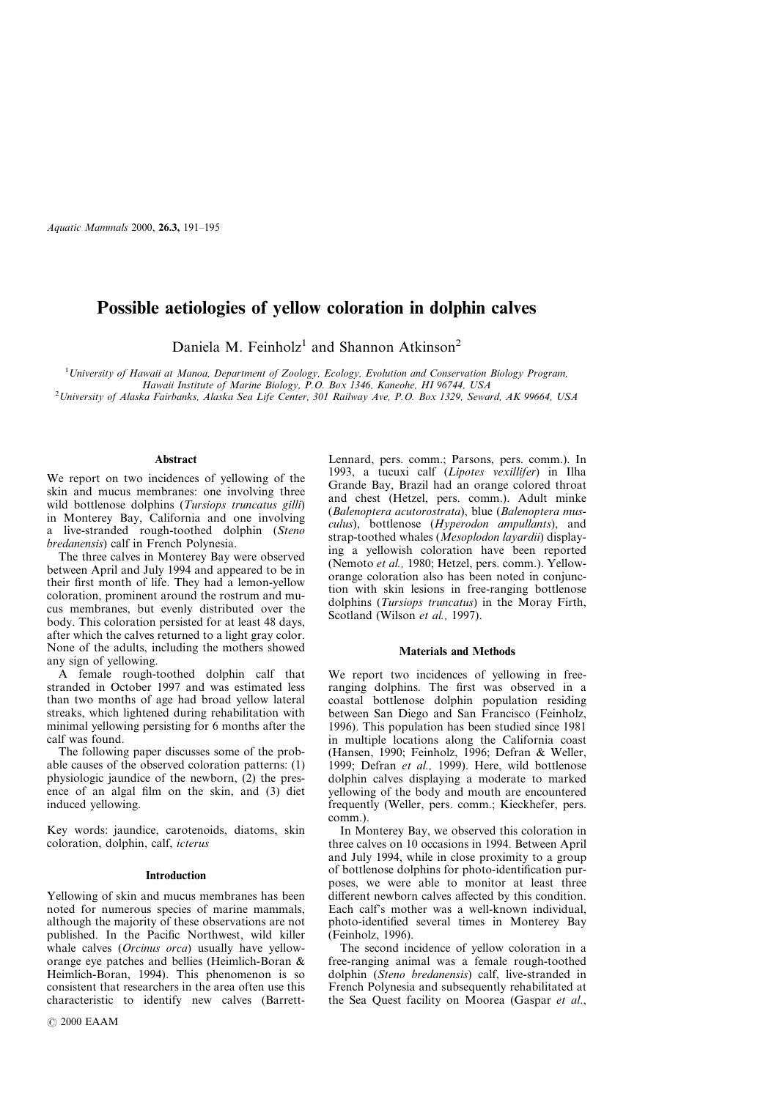*Aquatic Mammals* 2000, **26.3,** 191–195

# **Possible aetiologies of yellow coloration in dolphin calves**

Daniela M. Feinholz<sup>1</sup> and Shannon Atkinson<sup>2</sup>

<sup>1</sup>*University of Hawaii at Manoa, Department of Zoology, Ecology, Evolution and Conservation Biology Program, Hawaii Institute of Marine Biology, P.O. Box 1346, Kaneohe, HI 96744, USA* <sup>2</sup>University of Alaska Fairbanks, Alaska Sea Life Center, 301 Railway Ave, P.O. Box 1329, Seward, AK 99664, USA

# **Abstract**

We report on two incidences of yellowing of the skin and mucus membranes: one involving three wild bottlenose dolphins (*Tursiops truncatus gilli*) in Monterey Bay, California and one involving a live-stranded rough-toothed dolphin (*Steno bredanensis*) calf in French Polynesia.

The three calves in Monterey Bay were observed between April and July 1994 and appeared to be in their first month of life. They had a lemon-yellow coloration, prominent around the rostrum and mucus membranes, but evenly distributed over the body. This coloration persisted for at least 48 days, after which the calves returned to a light gray color. None of the adults, including the mothers showed any sign of yellowing.

A female rough-toothed dolphin calf that stranded in October 1997 and was estimated less than two months of age had broad yellow lateral streaks, which lightened during rehabilitation with minimal yellowing persisting for 6 months after the calf was found.

The following paper discusses some of the probable causes of the observed coloration patterns: (1) physiologic jaundice of the newborn, (2) the presence of an algal film on the skin, and (3) diet induced yellowing.

Key words: jaundice, carotenoids, diatoms, skin coloration, dolphin, calf, *icterus*

### **Introduction**

Yellowing of skin and mucus membranes has been noted for numerous species of marine mammals, although the majority of these observations are not published. In the Pacific Northwest, wild killer whale calves (*Orcinus orca*) usually have yelloworange eye patches and bellies (Heimlich-Boran & Heimlich-Boran, 1994). This phenomenon is so consistent that researchers in the area often use this characteristic to identify new calves (BarrettLennard, pers. comm.; Parsons, pers. comm.). In 1993, a tucuxi calf (*Lipotes vexillifer*) in Ilha Grande Bay, Brazil had an orange colored throat and chest (Hetzel, pers. comm.). Adult minke (*Balenoptera acutorostrata*), blue (*Balenoptera musculus*), bottlenose (*Hyperodon ampullants*), and strap-toothed whales (*Mesoplodon layardii*) displaying a yellowish coloration have been reported (Nemoto *et al.,* 1980; Hetzel, pers. comm.). Yelloworange coloration also has been noted in conjunction with skin lesions in free-ranging bottlenose dolphins (*Tursiops truncatus*) in the Moray Firth, Scotland (Wilson *et al.,* 1997).

#### **Materials and Methods**

We report two incidences of yellowing in freeranging dolphins. The first was observed in a coastal bottlenose dolphin population residing between San Diego and San Francisco (Feinholz, 1996). This population has been studied since 1981 in multiple locations along the California coast (Hansen, 1990; Feinholz, 1996; Defran & Weller, 1999; Defran *et al.,* 1999). Here, wild bottlenose dolphin calves displaying a moderate to marked yellowing of the body and mouth are encountered frequently (Weller, pers. comm.; Kieckhefer, pers. comm.).

In Monterey Bay, we observed this coloration in three calves on 10 occasions in 1994. Between April and July 1994, while in close proximity to a group of bottlenose dolphins for photo-identification purposes, we were able to monitor at least three different newborn calves affected by this condition. Each calf's mother was a well-known individual, photo-identified several times in Monterey Bay (Feinholz, 1996).

The second incidence of yellow coloration in a free-ranging animal was a female rough-toothed dolphin (*Steno bredanensis*) calf, live-stranded in French Polynesia and subsequently rehabilitated at the Sea Quest facility on Moorea (Gaspar *et al*.,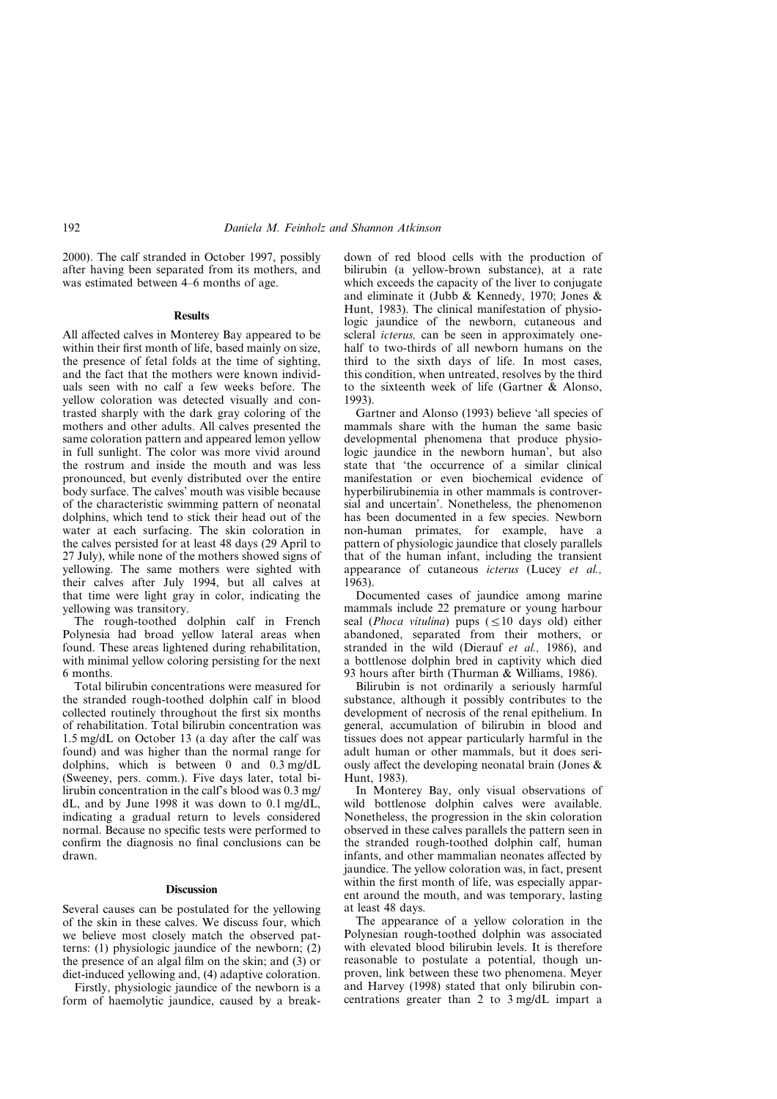# 192 *Daniela M. Feinholz and Shannon Atkinson*

2000). The calf stranded in October 1997, possibly after having been separated from its mothers, and was estimated between 4–6 months of age.

#### **Results**

All affected calves in Monterey Bay appeared to be within their first month of life, based mainly on size, the presence of fetal folds at the time of sighting, and the fact that the mothers were known individuals seen with no calf a few weeks before. The yellow coloration was detected visually and contrasted sharply with the dark gray coloring of the mothers and other adults. All calves presented the same coloration pattern and appeared lemon yellow in full sunlight. The color was more vivid around the rostrum and inside the mouth and was less pronounced, but evenly distributed over the entire body surface. The calves' mouth was visible because of the characteristic swimming pattern of neonatal dolphins, which tend to stick their head out of the water at each surfacing. The skin coloration in the calves persisted for at least 48 days (29 April to 27 July), while none of the mothers showed signs of yellowing. The same mothers were sighted with their calves after July 1994, but all calves at that time were light gray in color, indicating the yellowing was transitory.

The rough-toothed dolphin calf in French Polynesia had broad yellow lateral areas when found. These areas lightened during rehabilitation, with minimal yellow coloring persisting for the next 6 months.

Total bilirubin concentrations were measured for the stranded rough-toothed dolphin calf in blood collected routinely throughout the first six months of rehabilitation. Total bilirubin concentration was 1.5 mg/dL on October 13 (a day after the calf was found) and was higher than the normal range for dolphins, which is between 0 and 0.3 mg/dL (Sweeney, pers. comm.). Five days later, total bilirubin concentration in the calf's blood was 0.3 mg/ dL, and by June 1998 it was down to 0.1 mg/dL, indicating a gradual return to levels considered normal. Because no specific tests were performed to confirm the diagnosis no final conclusions can be drawn.

#### **Discussion**

Several causes can be postulated for the yellowing of the skin in these calves. We discuss four, which we believe most closely match the observed patterns: (1) physiologic jaundice of the newborn; (2) the presence of an algal film on the skin; and (3) or diet-induced yellowing and, (4) adaptive coloration.

Firstly, physiologic jaundice of the newborn is a form of haemolytic jaundice, caused by a breakdown of red blood cells with the production of bilirubin (a yellow-brown substance), at a rate which exceeds the capacity of the liver to conjugate and eliminate it (Jubb & Kennedy, 1970; Jones & Hunt, 1983). The clinical manifestation of physiologic jaundice of the newborn, cutaneous and scleral *icterus,* can be seen in approximately onehalf to two-thirds of all newborn humans on the third to the sixth days of life. In most cases, this condition, when untreated, resolves by the third to the sixteenth week of life (Gartner & Alonso, 1993).

Gartner and Alonso (1993) believe 'all species of mammals share with the human the same basic developmental phenomena that produce physiologic jaundice in the newborn human', but also state that 'the occurrence of a similar clinical manifestation or even biochemical evidence of hyperbilirubinemia in other mammals is controversial and uncertain'. Nonetheless, the phenomenon has been documented in a few species. Newborn non-human primates, for example, have a pattern of physiologic jaundice that closely parallels that of the human infant, including the transient appearance of cutaneous *icterus* (Lucey *et al.,* 1963).

Documented cases of jaundice among marine mammals include 22 premature or young harbour seal (*Phoca vitulina*) pups  $(\leq 10$  days old) either abandoned, separated from their mothers, or stranded in the wild (Dierauf *et al.,* 1986), and a bottlenose dolphin bred in captivity which died 93 hours after birth (Thurman & Williams, 1986).

Bilirubin is not ordinarily a seriously harmful substance, although it possibly contributes to the development of necrosis of the renal epithelium. In general, accumulation of bilirubin in blood and tissues does not appear particularly harmful in the adult human or other mammals, but it does seriously affect the developing neonatal brain (Jones & Hunt, 1983).

In Monterey Bay, only visual observations of wild bottlenose dolphin calves were available. Nonetheless, the progression in the skin coloration observed in these calves parallels the pattern seen in the stranded rough-toothed dolphin calf, human infants, and other mammalian neonates affected by iaundice. The yellow coloration was, in fact, present within the first month of life, was especially apparent around the mouth, and was temporary, lasting at least 48 days.

The appearance of a yellow coloration in the Polynesian rough-toothed dolphin was associated with elevated blood bilirubin levels. It is therefore reasonable to postulate a potential, though unproven, link between these two phenomena. Meyer and Harvey (1998) stated that only bilirubin concentrations greater than 2 to 3 mg/dL impart a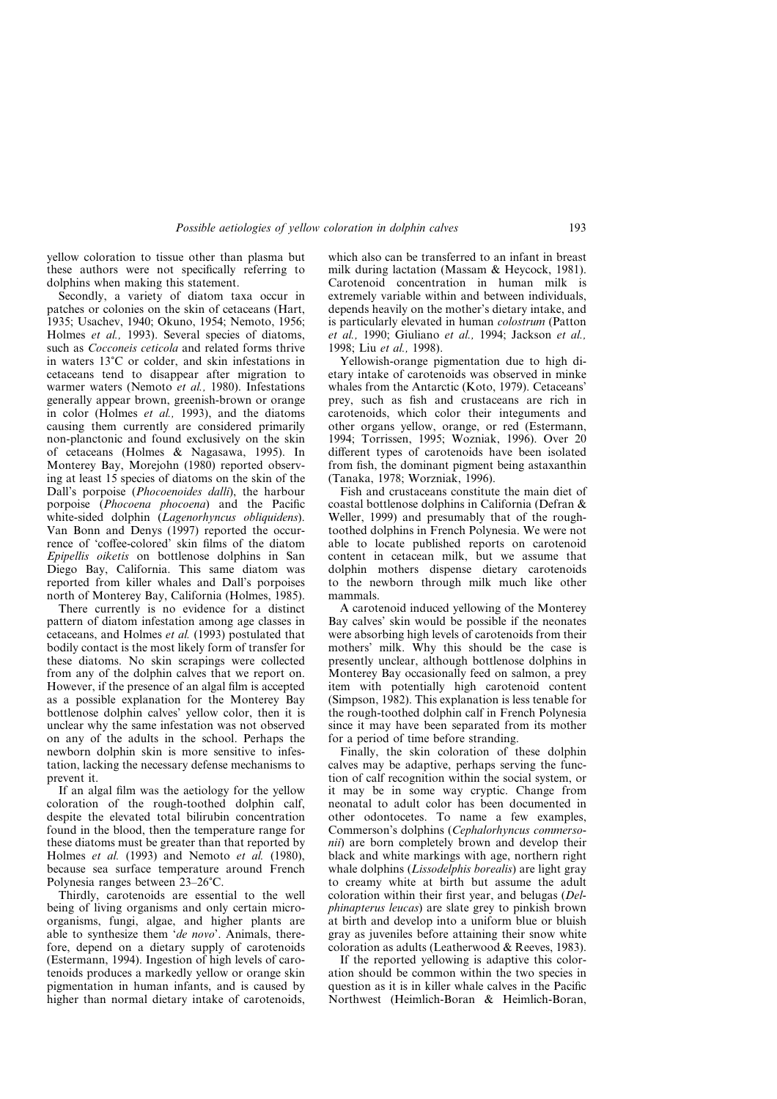## *Possible aetiologies of yellow coloration in dolphin calves* 193

yellow coloration to tissue other than plasma but these authors were not specifically referring to dolphins when making this statement.

Secondly, a variety of diatom taxa occur in patches or colonies on the skin of cetaceans (Hart, 1935; Usachev, 1940; Okuno, 1954; Nemoto, 1956; Holmes *et al.,* 1993). Several species of diatoms, such as *Cocconeis ceticola* and related forms thrive in waters  $13^{\circ}$ C or colder, and skin infestations in cetaceans tend to disappear after migration to warmer waters (Nemoto *et al.,* 1980). Infestations generally appear brown, greenish-brown or orange in color (Holmes *et al.,* 1993), and the diatoms causing them currently are considered primarily non-planctonic and found exclusively on the skin of cetaceans (Holmes & Nagasawa, 1995). In Monterey Bay, Morejohn (1980) reported observing at least 15 species of diatoms on the skin of the Dall's porpoise (*Phocoenoides dalli*), the harbour porpoise (*Phocoena phocoena*) and the Pacific white-sided dolphin (*Lagenorhyncus obliquidens*). Van Bonn and Denys (1997) reported the occurrence of 'coffee-colored' skin films of the diatom *Epipellis oiketis* on bottlenose dolphins in San Diego Bay, California. This same diatom was reported from killer whales and Dall's porpoises north of Monterey Bay, California (Holmes, 1985).

There currently is no evidence for a distinct pattern of diatom infestation among age classes in cetaceans, and Holmes *et al.* (1993) postulated that bodily contact is the most likely form of transfer for these diatoms. No skin scrapings were collected from any of the dolphin calves that we report on. However, if the presence of an algal film is accepted as a possible explanation for the Monterey Bay bottlenose dolphin calves' yellow color, then it is unclear why the same infestation was not observed on any of the adults in the school. Perhaps the newborn dolphin skin is more sensitive to infestation, lacking the necessary defense mechanisms to prevent it.

If an algal film was the aetiology for the yellow coloration of the rough-toothed dolphin calf, despite the elevated total bilirubin concentration found in the blood, then the temperature range for these diatoms must be greater than that reported by Holmes *et al.* (1993) and Nemoto *et al.* (1980), because sea surface temperature around French Polynesia ranges between 23–26°C.

Thirdly, carotenoids are essential to the well being of living organisms and only certain microorganisms, fungi, algae, and higher plants are able to synthesize them '*de novo*'. Animals, therefore, depend on a dietary supply of carotenoids (Estermann, 1994). Ingestion of high levels of carotenoids produces a markedly yellow or orange skin pigmentation in human infants, and is caused by higher than normal dietary intake of carotenoids,

which also can be transferred to an infant in breast milk during lactation (Massam & Heycock, 1981). Carotenoid concentration in human milk is extremely variable within and between individuals, depends heavily on the mother's dietary intake, and is particularly elevated in human *colostrum* (Patton *et al.,* 1990; Giuliano *et al.,* 1994; Jackson *et al.,* 1998; Liu *et al.,* 1998).

Yellowish-orange pigmentation due to high dietary intake of carotenoids was observed in minke whales from the Antarctic (Koto, 1979). Cetaceans' prey, such as fish and crustaceans are rich in carotenoids, which color their integuments and other organs yellow, orange, or red (Estermann, 1994; Torrissen, 1995; Wozniak, 1996). Over 20 different types of carotenoids have been isolated from fish, the dominant pigment being astaxanthin (Tanaka, 1978; Worzniak, 1996).

Fish and crustaceans constitute the main diet of coastal bottlenose dolphins in California (Defran & Weller, 1999) and presumably that of the roughtoothed dolphins in French Polynesia. We were not able to locate published reports on carotenoid content in cetacean milk, but we assume that dolphin mothers dispense dietary carotenoids to the newborn through milk much like other mammals.

A carotenoid induced yellowing of the Monterey Bay calves' skin would be possible if the neonates were absorbing high levels of carotenoids from their mothers' milk. Why this should be the case is presently unclear, although bottlenose dolphins in Monterey Bay occasionally feed on salmon, a prey item with potentially high carotenoid content (Simpson, 1982). This explanation is less tenable for the rough-toothed dolphin calf in French Polynesia since it may have been separated from its mother for a period of time before stranding.

Finally, the skin coloration of these dolphin calves may be adaptive, perhaps serving the function of calf recognition within the social system, or it may be in some way cryptic. Change from neonatal to adult color has been documented in other odontocetes. To name a few examples, Commerson's dolphins (*Cephalorhyncus commersonii*) are born completely brown and develop their black and white markings with age, northern right whale dolphins (*Lissodelphis borealis*) are light gray to creamy white at birth but assume the adult coloration within their first year, and belugas (*Delphinapterus leucas*) are slate grey to pinkish brown at birth and develop into a uniform blue or bluish gray as juveniles before attaining their snow white coloration as adults (Leatherwood & Reeves, 1983).

If the reported yellowing is adaptive this coloration should be common within the two species in question as it is in killer whale calves in the Pacific Northwest (Heimlich-Boran & Heimlich-Boran,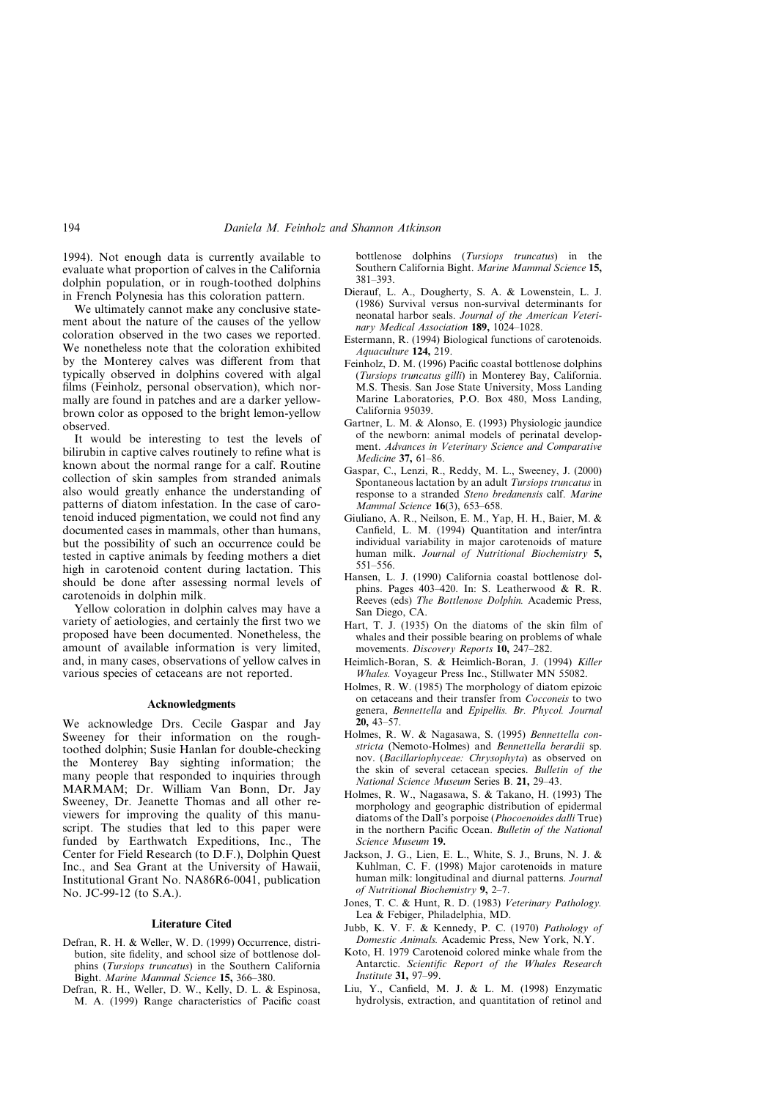# 194 *Daniela M. Feinholz and Shannon Atkinson*

1994). Not enough data is currently available to evaluate what proportion of calves in the California dolphin population, or in rough-toothed dolphins in French Polynesia has this coloration pattern.

We ultimately cannot make any conclusive statement about the nature of the causes of the yellow coloration observed in the two cases we reported. We nonetheless note that the coloration exhibited by the Monterey calves was different from that typically observed in dolphins covered with algal films (Feinholz, personal observation), which normally are found in patches and are a darker yellowbrown color as opposed to the bright lemon-yellow observed.

It would be interesting to test the levels of bilirubin in captive calves routinely to refine what is known about the normal range for a calf. Routine collection of skin samples from stranded animals also would greatly enhance the understanding of patterns of diatom infestation. In the case of carotenoid induced pigmentation, we could not find any documented cases in mammals, other than humans, but the possibility of such an occurrence could be tested in captive animals by feeding mothers a diet high in carotenoid content during lactation. This should be done after assessing normal levels of carotenoids in dolphin milk.

Yellow coloration in dolphin calves may have a variety of aetiologies, and certainly the first two we proposed have been documented. Nonetheless, the amount of available information is very limited, and, in many cases, observations of yellow calves in various species of cetaceans are not reported.

#### **Acknowledgments**

We acknowledge Drs. Cecile Gaspar and Jay Sweeney for their information on the roughtoothed dolphin; Susie Hanlan for double-checking the Monterey Bay sighting information; the many people that responded to inquiries through MARMAM; Dr. William Van Bonn, Dr. Jay Sweeney, Dr. Jeanette Thomas and all other reviewers for improving the quality of this manuscript. The studies that led to this paper were funded by Earthwatch Expeditions, Inc., The Center for Field Research (to D.F.), Dolphin Quest Inc., and Sea Grant at the University of Hawaii, Institutional Grant No. NA86R6-0041, publication No. JC-99-12 (to S.A.).

#### **Literature Cited**

- Defran, R. H. & Weller, W. D. (1999) Occurrence, distribution, site fidelity, and school size of bottlenose dolphins (*Tursiops truncatus*) in the Southern California Bight. *Marine Mammal Science* **15,** 366–380.
- Defran, R. H., Weller, D. W., Kelly, D. L. & Espinosa, M. A. (1999) Range characteristics of Pacific coast

bottlenose dolphins (*Tursiops truncatus*) in the Southern California Bight. *Marine Mammal Science* **15,** 381–393.

- Dierauf, L. A., Dougherty, S. A. & Lowenstein, L. J. (1986) Survival versus non-survival determinants for neonatal harbor seals. *Journal of the American Veterinary Medical Association* **189,** 1024–1028.
- Estermann, R. (1994) Biological functions of carotenoids. *Aquaculture* **124,** 219.
- Feinholz, D. M. (1996) Pacific coastal bottlenose dolphins (*Tursiops truncatus gilli*) in Monterey Bay, California. M.S. Thesis. San Jose State University, Moss Landing Marine Laboratories, P.O. Box 480, Moss Landing, California 95039.
- Gartner, L. M. & Alonso, E. (1993) Physiologic jaundice of the newborn: animal models of perinatal development. *Advances in Veterinary Science and Comparative Medicine* **37,** 61–86.
- Gaspar, C., Lenzi, R., Reddy, M. L., Sweeney, J. (2000) Spontaneous lactation by an adult *Tursiops truncatus* in response to a stranded *Steno bredanensis* calf. *Marine Mammal Science* **16**(3), 653–658.
- Giuliano, A. R., Neilson, E. M., Yap, H. H., Baier, M. & Canfield, L. M. (1994) Quantitation and inter/intra individual variability in major carotenoids of mature human milk. *Journal of Nutritional Biochemistry* **5,** 551–556.
- Hansen, L. J. (1990) California coastal bottlenose dolphins. Pages 403–420. In: S. Leatherwood & R. R. Reeves (eds) *The Bottlenose Dolphin.* Academic Press, San Diego, CA.
- Hart, T. J. (1935) On the diatoms of the skin film of whales and their possible bearing on problems of whale movements. *Discovery Reports* **10,** 247–282.
- Heimlich-Boran, S. & Heimlich-Boran, J. (1994) *Killer Whales.* Voyageur Press Inc., Stillwater MN 55082.
- Holmes, R. W. (1985) The morphology of diatom epizoic on cetaceans and their transfer from *Cocconeis* to two genera, *Bennettella* and *Epipellis. Br. Phycol. Journal* **20,** 43–57.
- Holmes, R. W. & Nagasawa, S. (1995) *Bennettella constricta* (Nemoto-Holmes) and *Bennettella berardii* sp. nov. (*Bacillariophyceae: Chrysophyta*) as observed on the skin of several cetacean species. *Bulletin of the National Science Museum* Series B. **21,** 29–43.
- Holmes, R. W., Nagasawa, S. & Takano, H. (1993) The morphology and geographic distribution of epidermal diatoms of the Dall's porpoise (*Phocoenoides dalli* True) in the northern Pacific Ocean. *Bulletin of the National Science Museum* **19.**
- Jackson, J. G., Lien, E. L., White, S. J., Bruns, N. J. & Kuhlman, C. F. (1998) Major carotenoids in mature human milk: longitudinal and diurnal patterns. *Journal of Nutritional Biochemistry* **9,** 2–7.
- Jones, T. C. & Hunt, R. D. (1983) *Veterinary Pathology.* Lea & Febiger, Philadelphia, MD.
- Jubb, K. V. F. & Kennedy, P. C. (1970) *Pathology of Domestic Animals.* Academic Press, New York, N.Y.
- Koto, H. 1979 Carotenoid colored minke whale from the Antarctic. *Scientific Report of the Whales Research Institute* **31,** 97–99.
- Liu, Y., Canfield, M. J. & L. M. (1998) Enzymatic hydrolysis, extraction, and quantitation of retinol and